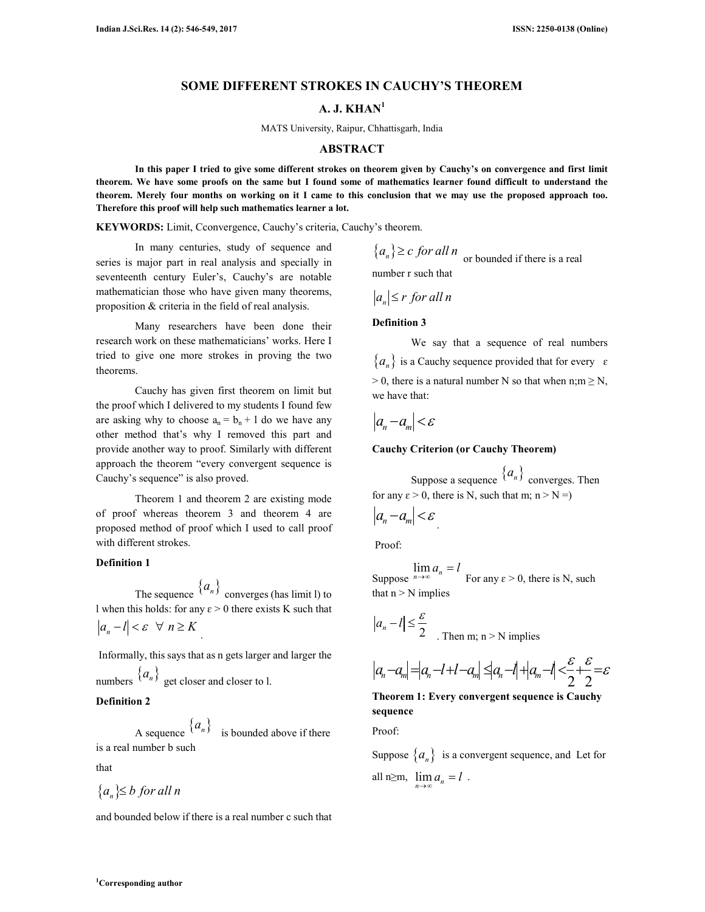### **SOME DIFFERENT STROKES IN CAUCHY'S THEOREM**

# **A. J. KHAN<sup>1</sup>**

MATS University, Raipur, Chhattisgarh, India

#### **ABSTRACT**

**In this paper I tried to give some different strokes on theorem given by Cauchy's on convergence and first limit theorem. We have some proofs on the same but I found some of mathematics learner found difficult to understand the theorem. Merely four months on working on it I came to this conclusion that we may use the proposed approach too. Therefore this proof will help such mathematics learner a lot.** 

**KEYWORDS:** Limit, Cconvergence, Cauchy's criteria, Cauchy's theorem.

In many centuries, study of sequence and series is major part in real analysis and specially in seventeenth century Euler's, Cauchy's are notable mathematician those who have given many theorems, proposition & criteria in the field of real analysis.

Many researchers have been done their research work on these mathematicians' works. Here I tried to give one more strokes in proving the two theorems.

Cauchy has given first theorem on limit but the proof which I delivered to my students I found few are asking why to choose  $a_n = b_n + 1$  do we have any other method that's why I removed this part and provide another way to proof. Similarly with different approach the theorem "every convergent sequence is Cauchy's sequence" is also proved.

Theorem 1 and theorem 2 are existing mode of proof whereas theorem 3 and theorem 4 are proposed method of proof which I used to call proof with different strokes.

## **Definition 1**

The sequence  $\{a_n\}$  converges (has limit l) to l when this holds: for any  $\varepsilon > 0$  there exists K such that  $a_n - l < \varepsilon \ \ \forall \ n \geq K$ .

 Informally, this says that as n gets larger and larger the numbers  $\{a_n\}$  get closer and closer to l.

# **Definition 2**

A sequence  $\{a_n\}$  is bounded above if there is a real number b such

that

$$
\{a_n\} \leq b \text{ for all } n
$$

and bounded below if there is a real number c such that

 ${a_n} \ge c$  *for all n*  $\infty$  or bounded if there is a real number r such that

$$
|a_n| \le r \text{ for all } n
$$

# **Definition 3**

We say that a sequence of real numbers  ${a_n}$  is a Cauchy sequence provided that for every  $\varepsilon$  $> 0$ , there is a natural number N so that when n;m  $\geq N$ , we have that:

$$
|a_n-a_m|<\varepsilon
$$

#### **Cauchy Criterion (or Cauchy Theorem)**

Suppose a sequence  $\{a_n\}$  converges. Then for any  $\varepsilon > 0$ , there is N, such that m; n > N =)

$$
\left|a_{n}-a_{m}\right|<\varepsilon
$$

Proof:

Suppose  $\lim_{n\to\infty} a_n = l$ For any  $\varepsilon > 0$ , there is N, such that  $n > N$  implies

$$
|a_n - l| \leq \frac{\varepsilon}{2}
$$
. Then m; n > N implies

$$
|a_n-a_m|=|a_n-l+l-a_m|\leq |a_n-l|+|a_m-l|<\frac{\varepsilon}{2}+\frac{\varepsilon}{2}=\varepsilon
$$

**Theorem 1: Every convergent sequence is Cauchy sequence**

Proof:

Suppose  $\{a_n\}$  is a convergent sequence, and Let for all  $n \ge m$ ,  $\lim_{n \to \infty} a_n = l$ .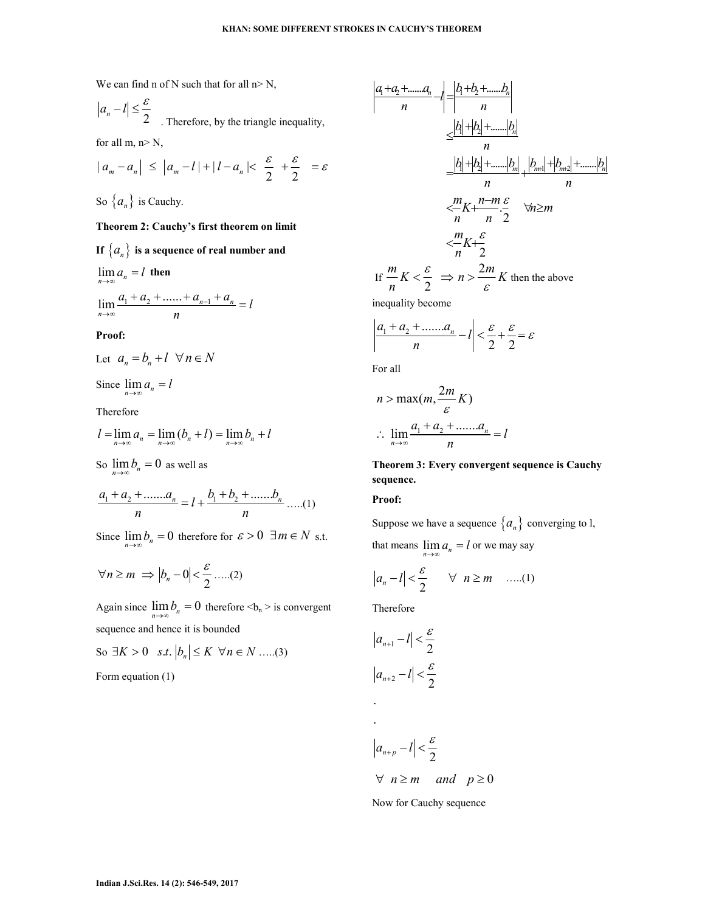We can find n of N such that for all  $n > N$ ,

$$
|a_n - l| \le \frac{\varepsilon}{2}
$$
. Therefore, by the triangle inequality, for all m, n> N,

$$
|a_m - a_n| \le |a_m - l| + |l - a_n| < \frac{\varepsilon}{2} + \frac{\varepsilon}{2} = \varepsilon
$$

So  $\{a_n\}$  is Cauchy.

# **Theorem 2: Cauchy's first theorem on limit**

If  ${a_n}$  is a sequence of real number and

$$
\lim_{n \to \infty} a_n = l \text{ then}
$$
  

$$
\lim_{n \to \infty} \frac{a_1 + a_2 + \dots + a_{n-1} + a_n}{n} = l
$$

# **Proof:**

$$
Let \t a_n = b_n + l \quad \forall n \in N
$$

Since  $\lim_{n\to\infty} a_n = l$ 

Therefore

$$
l = \lim_{n \to \infty} a_n = \lim_{n \to \infty} (b_n + l) = \lim_{n \to \infty} b_n + l
$$

So  $\lim_{n \to \infty} b_n = 0$  as well as

$$
\frac{a_1 + a_2 + \dots + a_n}{n} = l + \frac{b_1 + b_2 + \dots + b_n}{n} \dots (1)
$$

Since  $\lim_{n\to\infty} b_n = 0$  therefore for  $\varepsilon > 0$   $\exists m \in N$  s.t.

$$
\forall n \ge m \implies |b_n - 0| < \frac{\varepsilon}{2} \dots (2)
$$

Again since  $\lim_{n\to\infty} b_n = 0$  therefore <br/>  $b_n$  > is convergent sequence and hence it is bounded

So 
$$
\exists K > 0
$$
 s.t.  $|b_n| \le K \ \forall n \in N$  ....(3)

Form equation (1)

$$
\left|\frac{a_1+a_2+\dots a_n}{n}-l\right| = \frac{|b_1+b_2+\dots b_n|}{n}
$$
\n
$$
\leq \frac{|b_1|+|b_2|+\dots +|b_n|}{n}
$$
\n
$$
= \frac{|b_1|+|b_2|+\dots+|b_m|}{n} + \frac{|b_{m+1}|+|b_{m+2}|+\dots+|b_n|}{n}
$$
\n
$$
< \frac{m}{n}K + \frac{n-m}{n} \cdot \frac{\varepsilon}{2} \quad \forall n \geq m
$$
\n
$$
< \frac{m}{n}K + \frac{\varepsilon}{2}
$$
\nIf  $\frac{m}{n}K < \frac{\varepsilon}{2} \Rightarrow n > \frac{2m}{\varepsilon}K$  then the above inequality become

$$
\left|\frac{a_1 + a_2 + \dots + a_n}{n} - l\right| < \frac{\varepsilon}{2} + \frac{\varepsilon}{2} = \varepsilon
$$

For all

$$
n > \max(m, \frac{2m}{\varepsilon} K)
$$
  
 
$$
\therefore \lim_{n \to \infty} \frac{a_1 + a_2 + \dots + a_n}{n} = l
$$

# **Theorem 3: Every convergent sequence is Cauchy sequence.**

### **Proof:**

Suppose we have a sequence  $\{a_n\}$  converging to l,

that means  $\lim_{n \to \infty} a_n = l$  or we may say

$$
|a_n - l| < \frac{\varepsilon}{2} \qquad \forall \quad n \ge m \quad \dots (1)
$$

Therefore

$$
|a_{n+1} - l| < \frac{\varepsilon}{2}
$$
\n
$$
|a_{n+2} - l| < \frac{\varepsilon}{2}
$$

.

 $a_{n+p}-l \leq \frac{\varepsilon}{2}$  $_{+p}-l$   $\vert$   $<$  $\forall n \geq m$  and  $p \geq 0$ 

Now for Cauchy sequence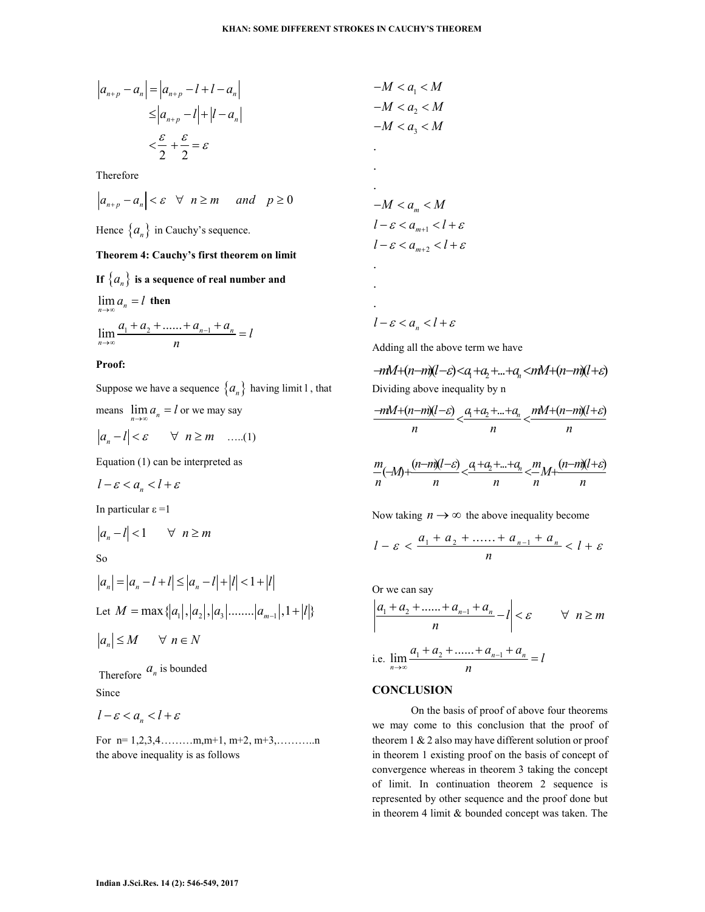$$
a_{n+p} - a_n \rvert = \rvert a_{n+p} - l + l - a_n \rvert
$$
  
\n
$$
\leq \rvert a_{n+p} - l \rvert + \rvert l - a_n \rvert
$$
  
\n
$$
< \frac{\varepsilon}{2} + \frac{\varepsilon}{2} = \varepsilon
$$

Therefore

$$
\left|a_{n+p}-a_n\right|<\varepsilon\quad\forall\quad n\geq m\quad\text{and}\quad p\geq 0
$$

Hence  $\{a_n\}$  in Cauchy's sequence.

#### **Theorem 4: Cauchy's first theorem on limit**

**If**  ${a_n}$  is a sequence of real number and

$$
\lim_{n \to \infty} a_n = l \text{ then}
$$
\n
$$
\lim_{n \to \infty} \frac{a_1 + a_2 + \dots + a_{n-1} + a_n}{n} = l
$$

#### **Proof:**

Suppose we have a sequence  $\{a_n\}$  having limit  $l$ , that

means 
$$
\lim_{n \to \infty} a_n = l
$$
 or we may say

$$
|a_n - l| < \varepsilon \qquad \forall \quad n \ge m \qquad \dots (1)
$$

Equation (1) can be interpreted as

$$
l-\varepsilon < a_n < l+\varepsilon
$$

In particular  $ε = 1$ 

$$
|a_n - l| < 1 \qquad \forall \ n \ge m
$$

So

$$
|a_n| = |a_n - l + l| \le |a_n - l| + |l| < 1 + |l|
$$
  
Let  $M = \max\{|a_1|, |a_2|, |a_3| \dots | |a_{m-1}|, 1 + |l|\}$ 

$$
|a_n| \le M \qquad \forall \ n \in N
$$

Therefore  $a_n$  is bounded Since

$$
l-\varepsilon < a_n < l+\varepsilon
$$

For n= 1,2,3,4………m,m+1, m+2, m+3,………..n the above inequality is as follows

 $l - \varepsilon < a_{m+1} < l + \varepsilon$  $l - \varepsilon < a_{m+2} < l + \varepsilon$ . . .  $-M < a_m < M$ 

 $-M < a_{1} < M$  $-M < a_2 < M$  $-M < a_3 < M$ 

.

. .

 $l - \varepsilon < a_n < l + \varepsilon$ 

Adding all the above term we have

$$
-mM+(n-m)(l-\varepsilon) < a_l + a_2 + \dots + a_n < mM+(n-m)(l+\varepsilon)
$$
\nDividing above inequality by n

$$
\frac{-mM+(n-m)(l-\varepsilon)}{n} < \frac{a_1+a_2+\ldots+a_n}{n} < \frac{mM+(n-m)(l+\varepsilon)}{n}
$$

$$
\frac{m}{n}(-M) + \frac{(n-m)(l-\varepsilon)}{n} < \frac{a_1+a_2+\ldots+a_n}{n} < \frac{m}{n}M + \frac{(n-m)(l+\varepsilon)}{n}
$$

Now taking  $n \to \infty$  the above inequality become

$$
l - \varepsilon < \frac{a_1 + a_2 + \dots + a_{n-1} + a_n}{n} < l + \varepsilon
$$

Or we can say

$$
\left| \frac{a_1 + a_2 + \dots + a_{n-1} + a_n}{n} - l \right| < \varepsilon \qquad \forall \ n \ge m
$$
\ni.e. 

\n
$$
\lim_{n \to \infty} \frac{a_1 + a_2 + \dots + a_{n-1} + a_n}{n} = l
$$

## **CONCLUSION**

On the basis of proof of above four theorems we may come to this conclusion that the proof of theorem 1 & 2 also may have different solution or proof in theorem 1 existing proof on the basis of concept of convergence whereas in theorem 3 taking the concept of limit. In continuation theorem 2 sequence is represented by other sequence and the proof done but in theorem 4 limit & bounded concept was taken. The